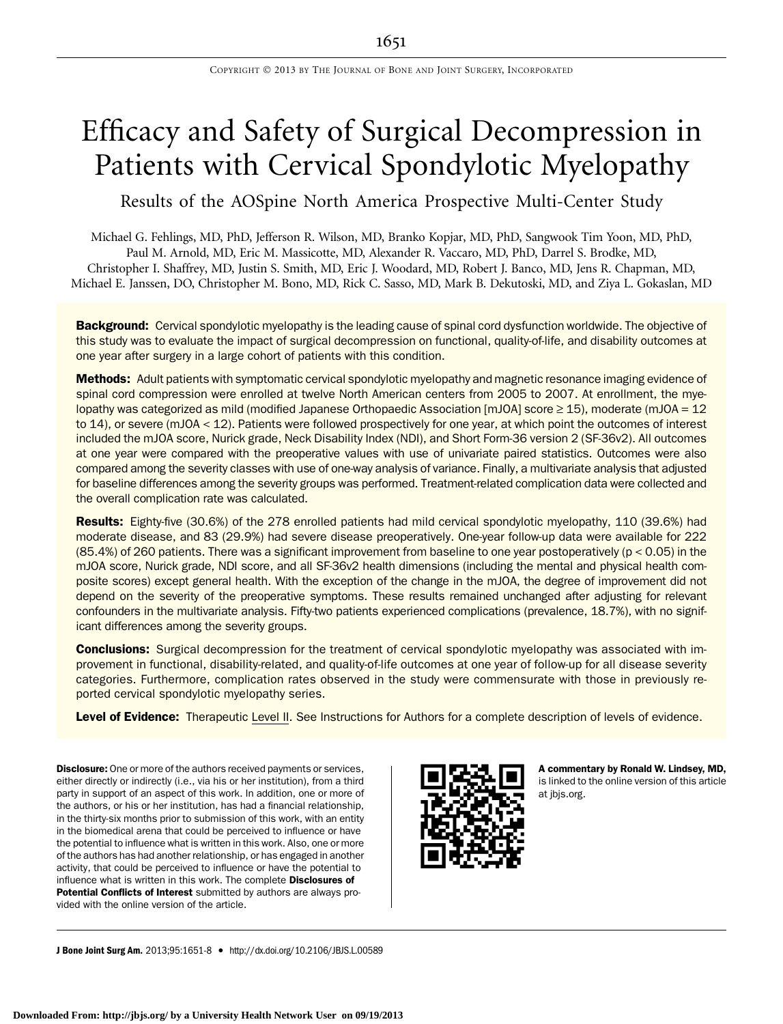# Efficacy and Safety of Surgical Decompression in Patients with Cervical Spondylotic Myelopathy

Results of the AOSpine North America Prospective Multi-Center Study

Michael G. Fehlings, MD, PhD, Jefferson R. Wilson, MD, Branko Kopjar, MD, PhD, Sangwook Tim Yoon, MD, PhD, Paul M. Arnold, MD, Eric M. Massicotte, MD, Alexander R. Vaccaro, MD, PhD, Darrel S. Brodke, MD, Christopher I. Shaffrey, MD, Justin S. Smith, MD, Eric J. Woodard, MD, Robert J. Banco, MD, Jens R. Chapman, MD, Michael E. Janssen, DO, Christopher M. Bono, MD, Rick C. Sasso, MD, Mark B. Dekutoski, MD, and Ziya L. Gokaslan, MD

Background: Cervical spondylotic myelopathy is the leading cause of spinal cord dysfunction worldwide. The objective of this study was to evaluate the impact of surgical decompression on functional, quality-of-life, and disability outcomes at one year after surgery in a large cohort of patients with this condition.

Methods: Adult patients with symptomatic cervical spondylotic myelopathy and magnetic resonance imaging evidence of spinal cord compression were enrolled at twelve North American centers from 2005 to 2007. At enrollment, the myelopathy was categorized as mild (modified Japanese Orthopaedic Association [mJOA] score  $\geq$  15), moderate (mJOA = 12 to 14), or severe (mJOA < 12). Patients were followed prospectively for one year, at which point the outcomes of interest included the mJOA score, Nurick grade, Neck Disability Index (NDI), and Short Form-36 version 2 (SF-36v2). All outcomes at one year were compared with the preoperative values with use of univariate paired statistics. Outcomes were also compared among the severity classes with use of one-way analysis of variance. Finally, a multivariate analysis that adjusted for baseline differences among the severity groups was performed. Treatment-related complication data were collected and the overall complication rate was calculated.

Results: Eighty-five (30.6%) of the 278 enrolled patients had mild cervical spondylotic myelopathy, 110 (39.6%) had moderate disease, and 83 (29.9%) had severe disease preoperatively. One-year follow-up data were available for 222  $(85.4%)$  of 260 patients. There was a significant improvement from baseline to one year postoperatively ( $p < 0.05$ ) in the mJOA score, Nurick grade, NDI score, and all SF-36v2 health dimensions (including the mental and physical health composite scores) except general health. With the exception of the change in the mJOA, the degree of improvement did not depend on the severity of the preoperative symptoms. These results remained unchanged after adjusting for relevant confounders in the multivariate analysis. Fifty-two patients experienced complications (prevalence, 18.7%), with no significant differences among the severity groups.

**Conclusions:** Surgical decompression for the treatment of cervical spondylotic myelopathy was associated with improvement in functional, disability-related, and quality-of-life outcomes at one year of follow-up for all disease severity categories. Furthermore, complication rates observed in the study were commensurate with those in previously reported cervical spondylotic myelopathy series.

Level of Evidence: Therapeutic Level II. See Instructions for Authors for a complete description of levels of evidence.

**Disclosure:** One or more of the authors received payments or services, either directly or indirectly (i.e., via his or her institution), from a third party in support of an aspect of this work. In addition, one or more of the authors, or his or her institution, has had a financial relationship, in the thirty-six months prior to submission of this work, with an entity in the biomedical arena that could be perceived to influence or have the potential to influence what is written in this work. Also, one or more of the authors has had another relationship, or has engaged in another activity, that could be perceived to influence or have the potential to influence what is written in this work. The complete Disclosures of Potential Conflicts of Interest submitted by authors are always provided with the online version of the article.



A commentary by Ronald W. Lindsey, MD, is linked to the online version of this article at jbjs.org.

J Bone Joint Surg Am. 2013;95:1651-8 · http://dx.doi.org/10.2106/JBJS.L.00589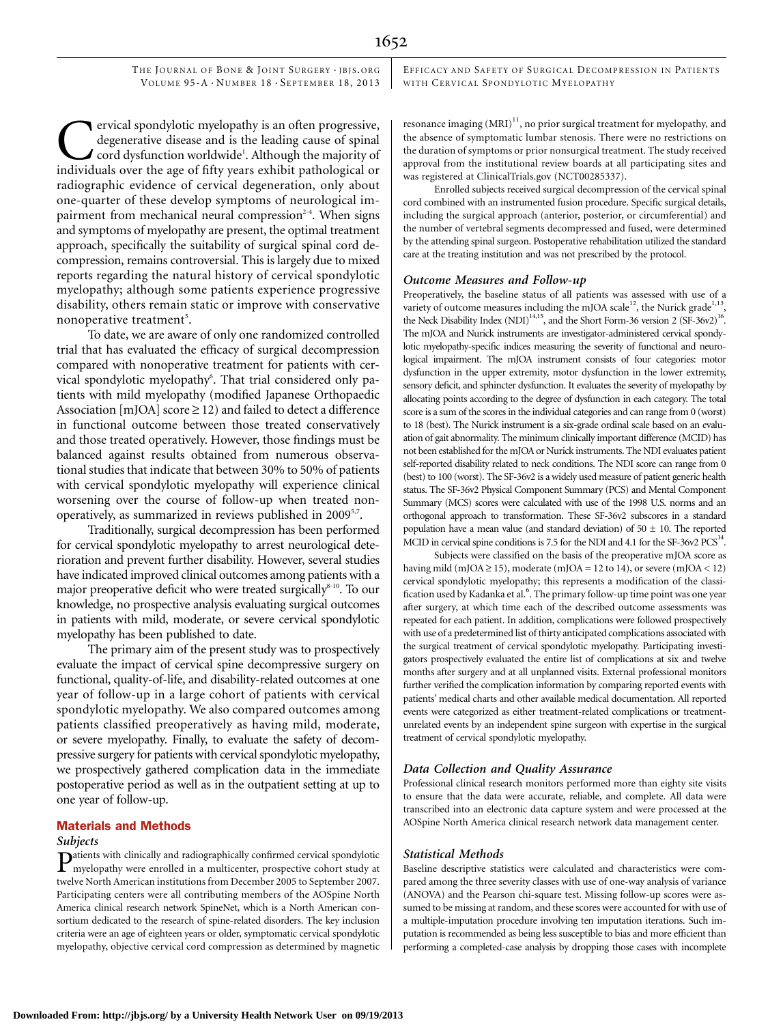THE JOURNAL OF BONE & JOINT SURGERY · JBJS.ORG VOLUME 95-A  $\cdot$  NUMBER 18  $\cdot$  September 18, 2013 EFFICACY AND SAFETY OF SURGICAL DECOMPRESSION IN PATIENTS WITH CERVICAL SPONDYLOTIC MYELOPATHY

**C**ervical spondylotic myelopathy is an often progressive, degenerative disease and is the leading cause of spinal cord dysfunction worldwide<sup>1</sup>. Although the majority of individuals over the age of fifty vears exhibit pat degenerative disease and is the leading cause of spinal cord dysfunction worldwide<sup>1</sup>. Although the majority of individuals over the age of fifty years exhibit pathological or radiographic evidence of cervical degeneration, only about one-quarter of these develop symptoms of neurological impairment from mechanical neural compression<sup> $2-4$ </sup>. When signs and symptoms of myelopathy are present, the optimal treatment approach, specifically the suitability of surgical spinal cord decompression, remains controversial. This is largely due to mixed reports regarding the natural history of cervical spondylotic myelopathy; although some patients experience progressive disability, others remain static or improve with conservative nonoperative treatment<sup>5</sup>.

To date, we are aware of only one randomized controlled trial that has evaluated the efficacy of surgical decompression compared with nonoperative treatment for patients with cervical spondylotic myelopathy<sup>6</sup>. That trial considered only patients with mild myelopathy (modified Japanese Orthopaedic Association [mJOA] score  $\ge$  12) and failed to detect a difference in functional outcome between those treated conservatively and those treated operatively. However, those findings must be balanced against results obtained from numerous observational studies that indicate that between 30% to 50% of patients with cervical spondylotic myelopathy will experience clinical worsening over the course of follow-up when treated nonoperatively, as summarized in reviews published in 2009<sup>5,7</sup>.

Traditionally, surgical decompression has been performed for cervical spondylotic myelopathy to arrest neurological deterioration and prevent further disability. However, several studies have indicated improved clinical outcomes among patients with a major preoperative deficit who were treated surgically $8-10$ . To our knowledge, no prospective analysis evaluating surgical outcomes in patients with mild, moderate, or severe cervical spondylotic myelopathy has been published to date.

The primary aim of the present study was to prospectively evaluate the impact of cervical spine decompressive surgery on functional, quality-of-life, and disability-related outcomes at one year of follow-up in a large cohort of patients with cervical spondylotic myelopathy. We also compared outcomes among patients classified preoperatively as having mild, moderate, or severe myelopathy. Finally, to evaluate the safety of decompressive surgery for patients with cervical spondylotic myelopathy, we prospectively gathered complication data in the immediate postoperative period as well as in the outpatient setting at up to one year of follow-up.

# Materials and Methods

# Subjects

Patients with clinically and radiographically confirmed cervical spondylotic myelopathy were enrolled in a multicenter, prospective cohort study at twelve North American institutions from December 2005 to September 2007. Participating centers were all contributing members of the AOSpine North America clinical research network SpineNet, which is a North American consortium dedicated to the research of spine-related disorders. The key inclusion criteria were an age of eighteen years or older, symptomatic cervical spondylotic myelopathy, objective cervical cord compression as determined by magnetic resonance imaging  $(MRI)^{11}$ , no prior surgical treatment for myelopathy, and the absence of symptomatic lumbar stenosis. There were no restrictions on the duration of symptoms or prior nonsurgical treatment. The study received approval from the institutional review boards at all participating sites and was registered at ClinicalTrials.gov (NCT00285337).

Enrolled subjects received surgical decompression of the cervical spinal cord combined with an instrumented fusion procedure. Specific surgical details, including the surgical approach (anterior, posterior, or circumferential) and the number of vertebral segments decompressed and fused, were determined by the attending spinal surgeon. Postoperative rehabilitation utilized the standard care at the treating institution and was not prescribed by the protocol.

# Outcome Measures and Follow-up

Preoperatively, the baseline status of all patients was assessed with use of a variety of outcome measures including the mJOA scale<sup>12</sup>, the Nurick grade<sup>1,13</sup>, the Neck Disability Index (NDI)<sup>14,15</sup>, and the Short Form-36 version 2 (SF-36v2)<sup>16</sup>. The mJOA and Nurick instruments are investigator-administered cervical spondylotic myelopathy-specific indices measuring the severity of functional and neurological impairment. The mJOA instrument consists of four categories: motor dysfunction in the upper extremity, motor dysfunction in the lower extremity, sensory deficit, and sphincter dysfunction. It evaluates the severity of myelopathy by allocating points according to the degree of dysfunction in each category. The total score is a sum of the scores in the individual categories and can range from 0 (worst) to 18 (best). The Nurick instrument is a six-grade ordinal scale based on an evaluation of gait abnormality. The minimum clinically important difference (MCID) has not been established for the mJOA or Nurick instruments. The NDI evaluates patient self-reported disability related to neck conditions. The NDI score can range from 0 (best) to 100 (worst). The SF-36v2 is a widely used measure of patient generic health status. The SF-36v2 Physical Component Summary (PCS) and Mental Component Summary (MCS) scores were calculated with use of the 1998 U.S. norms and an orthogonal approach to transformation. These SF-36v2 subscores in a standard population have a mean value (and standard deviation) of  $50 \pm 10$ . The reported MCID in cervical spine conditions is 7.5 for the NDI and 4.1 for the SF-36v2 PCS<sup>14</sup>.

Subjects were classified on the basis of the preoperative mJOA score as having mild (mJOA  $\ge$  15), moderate (mJOA = 12 to 14), or severe (mJOA < 12) cervical spondylotic myelopathy; this represents a modification of the classification used by Kadanka et al.<sup>6</sup>. The primary follow-up time point was one year after surgery, at which time each of the described outcome assessments was repeated for each patient. In addition, complications were followed prospectively with use of a predetermined list of thirty anticipated complications associated with the surgical treatment of cervical spondylotic myelopathy. Participating investigators prospectively evaluated the entire list of complications at six and twelve months after surgery and at all unplanned visits. External professional monitors further verified the complication information by comparing reported events with patients' medical charts and other available medical documentation. All reported events were categorized as either treatment-related complications or treatmentunrelated events by an independent spine surgeon with expertise in the surgical treatment of cervical spondylotic myelopathy.

# Data Collection and Quality Assurance

Professional clinical research monitors performed more than eighty site visits to ensure that the data were accurate, reliable, and complete. All data were transcribed into an electronic data capture system and were processed at the AOSpine North America clinical research network data management center.

# Statistical Methods

Baseline descriptive statistics were calculated and characteristics were compared among the three severity classes with use of one-way analysis of variance (ANOVA) and the Pearson chi-square test. Missing follow-up scores were assumed to be missing at random, and these scores were accounted for with use of a multiple-imputation procedure involving ten imputation iterations. Such imputation is recommended as being less susceptible to bias and more efficient than performing a completed-case analysis by dropping those cases with incomplete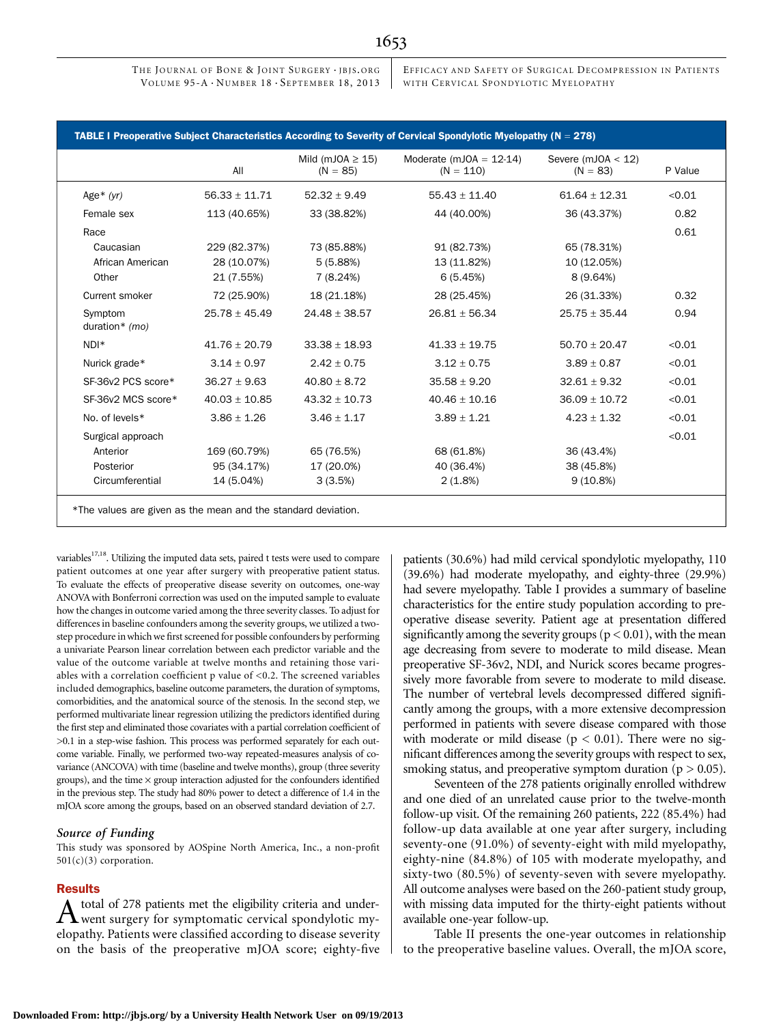THE JOURNAL OF BONE & JOINT SURGERY · JBJS.ORG VOLUME 95-A  $\cdot$  NUMBER 18  $\cdot$  September 18, 2013 EFFICACY AND SAFETY OF SURGICAL DECOMPRESSION IN PATIENTS WITH CERVICAL SPONDYLOTIC MYELOPATHY

|                             | All               | Mild (mJOA $\geq$ 15)<br>$(N = 85)$ | Moderate $(mJOA = 12-14)$<br>$(N = 110)$ | Severe (mJOA $<$ 12)<br>$(N = 83)$ | P Value |
|-----------------------------|-------------------|-------------------------------------|------------------------------------------|------------------------------------|---------|
| Age $*(yr)$                 | $56.33 \pm 11.71$ | $52.32 \pm 9.49$                    | $55.43 \pm 11.40$                        | $61.64 \pm 12.31$                  | < 0.01  |
| Female sex                  | 113 (40.65%)      | 33 (38.82%)                         | 44 (40.00%)                              | 36 (43.37%)                        | 0.82    |
| Race                        |                   |                                     |                                          |                                    | 0.61    |
| Caucasian                   | 229 (82.37%)      | 73 (85.88%)                         | 91 (82.73%)                              | 65 (78.31%)                        |         |
| African American            | 28 (10.07%)       | 5(5.88%)                            | 13 (11.82%)                              | 10 (12.05%)                        |         |
| Other                       | 21 (7.55%)        | 7 (8.24%)                           | 6(5.45%)                                 | 8 (9.64%)                          |         |
| Current smoker              | 72 (25.90%)       | 18 (21.18%)                         | 28 (25.45%)                              | 26 (31.33%)                        | 0.32    |
| Symptom<br>duration $*(mo)$ | $25.78 + 45.49$   | $24.48 \pm 38.57$                   | $26.81 \pm 56.34$                        | $25.75 \pm 35.44$                  | 0.94    |
| $NDI*$                      | $41.76 + 20.79$   | $33.38 \pm 18.93$                   | $41.33 \pm 19.75$                        | $50.70 \pm 20.47$                  | < 0.01  |
| Nurick grade*               | $3.14 \pm 0.97$   | $2.42 \pm 0.75$                     | $3.12 \pm 0.75$                          | $3.89 \pm 0.87$                    | < 0.01  |
| SF-36v2 PCS score*          | $36.27 \pm 9.63$  | $40.80 \pm 8.72$                    | $35.58 \pm 9.20$                         | $32.61 \pm 9.32$                   | < 0.01  |
| SF-36v2 MCS score*          | $40.03 \pm 10.85$ | $43.32 \pm 10.73$                   | $40.46 \pm 10.16$                        | $36.09 \pm 10.72$                  | < 0.01  |
| No. of levels*              | $3.86 \pm 1.26$   | $3.46 \pm 1.17$                     | $3.89 \pm 1.21$                          | $4.23 \pm 1.32$                    | < 0.01  |
| Surgical approach           |                   |                                     |                                          |                                    | < 0.01  |
| Anterior                    | 169 (60.79%)      | 65 (76.5%)                          | 68 (61.8%)                               | 36 (43.4%)                         |         |
| Posterior                   | 95 (34.17%)       | 17 (20.0%)                          | 40 (36.4%)                               | 38 (45.8%)                         |         |
| Circumferential             | 14 (5.04%)        | 3(3.5%)                             | 2(1.8%)                                  | 9(10.8%)                           |         |

variables<sup>17,18</sup>. Utilizing the imputed data sets, paired t tests were used to compare patient outcomes at one year after surgery with preoperative patient status. To evaluate the effects of preoperative disease severity on outcomes, one-way ANOVA with Bonferroni correction was used on the imputed sample to evaluate how the changes in outcome varied among the three severity classes. To adjust for differences in baseline confounders among the severity groups, we utilized a twostep procedure in which we first screened for possible confounders by performing a univariate Pearson linear correlation between each predictor variable and the value of the outcome variable at twelve months and retaining those variables with a correlation coefficient p value of  $< 0.2$ . The screened variables included demographics, baseline outcome parameters, the duration of symptoms, comorbidities, and the anatomical source of the stenosis. In the second step, we performed multivariate linear regression utilizing the predictors identified during the first step and eliminated those covariates with a partial correlation coefficient of >0.1 in a step-wise fashion. This process was performed separately for each outcome variable. Finally, we performed two-way repeated-measures analysis of covariance (ANCOVA) with time (baseline and twelve months), group (three severity groups), and the time  $\times$  group interaction adjusted for the confounders identified in the previous step. The study had 80% power to detect a difference of 1.4 in the mJOA score among the groups, based on an observed standard deviation of 2.7.

# Source of Funding

This study was sponsored by AOSpine North America, Inc., a non-profit  $501(c)(3)$  corporation.

#### Results

Atotal of 278 patients met the eligibility criteria and under-went surgery for symptomatic cervical spondylotic myelopathy. Patients were classified according to disease severity on the basis of the preoperative mJOA score; eighty-five patients (30.6%) had mild cervical spondylotic myelopathy, 110 (39.6%) had moderate myelopathy, and eighty-three (29.9%) had severe myelopathy. Table I provides a summary of baseline characteristics for the entire study population according to preoperative disease severity. Patient age at presentation differed significantly among the severity groups ( $p < 0.01$ ), with the mean age decreasing from severe to moderate to mild disease. Mean preoperative SF-36v2, NDI, and Nurick scores became progressively more favorable from severe to moderate to mild disease. The number of vertebral levels decompressed differed significantly among the groups, with a more extensive decompression performed in patients with severe disease compared with those with moderate or mild disease ( $p < 0.01$ ). There were no significant differences among the severity groups with respect to sex, smoking status, and preoperative symptom duration ( $p > 0.05$ ).

Seventeen of the 278 patients originally enrolled withdrew and one died of an unrelated cause prior to the twelve-month follow-up visit. Of the remaining 260 patients, 222 (85.4%) had follow-up data available at one year after surgery, including seventy-one (91.0%) of seventy-eight with mild myelopathy, eighty-nine (84.8%) of 105 with moderate myelopathy, and sixty-two (80.5%) of seventy-seven with severe myelopathy. All outcome analyses were based on the 260-patient study group, with missing data imputed for the thirty-eight patients without available one-year follow-up.

Table II presents the one-year outcomes in relationship to the preoperative baseline values. Overall, the mJOA score,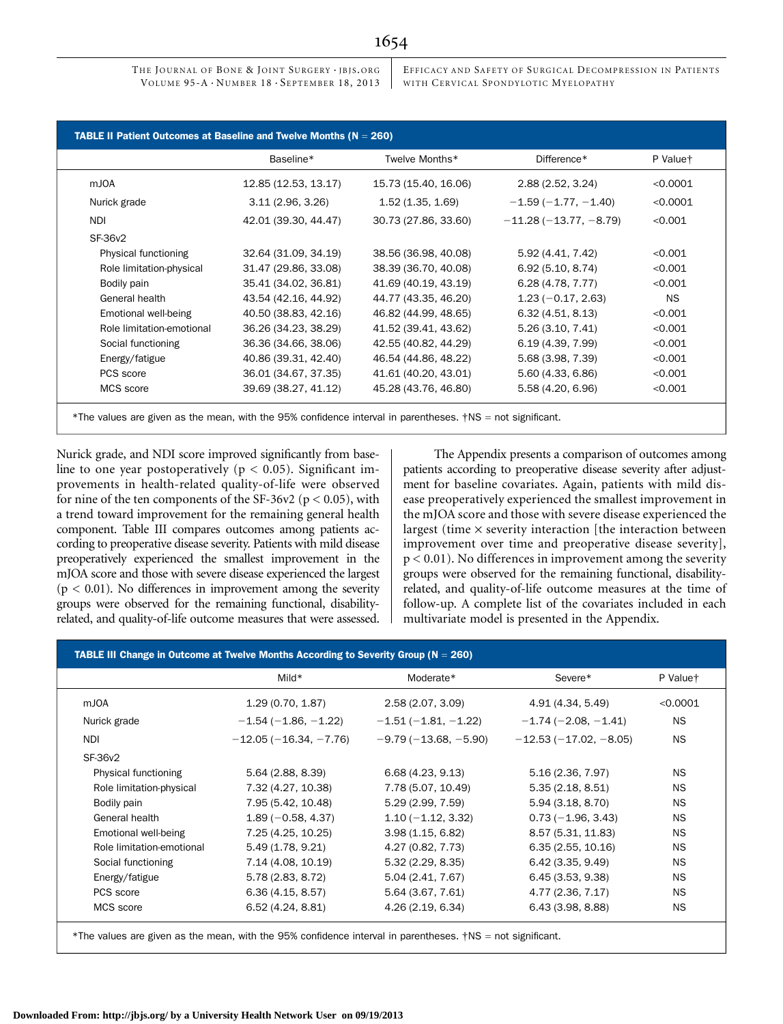THE JOURNAL OF BONE & JOINT SURGERY · JBJS.ORG VOLUME 95-A  $\cdot$  NUMBER 18  $\cdot$  September 18, 2013 EFFICACY AND SAFETY OF SURGICAL DECOMPRESSION IN PATIENTS WITH CERVICAL SPONDYLOTIC MYELOPATHY

| <b>TABLE II Patient Outcomes at Baseline and Twelve Months (<math>N = 260</math>)</b> |                      |                      |                         |           |  |
|---------------------------------------------------------------------------------------|----------------------|----------------------|-------------------------|-----------|--|
|                                                                                       | Baseline*            | Twelve Months*       | Difference*             | P Valuet  |  |
| mJOA                                                                                  | 12.85 (12.53, 13.17) | 15.73 (15.40, 16.06) | 2.88(2.52, 3.24)        | < 0.0001  |  |
| Nurick grade                                                                          | 3.11(2.96, 3.26)     | 1.52(1.35, 1.69)     | $-1.59(-1.77,-1.40)$    | < 0.0001  |  |
| NDI                                                                                   | 42.01 (39.30, 44.47) | 30.73 (27.86, 33.60) | $-11.28(-13.77, -8.79)$ | < 0.001   |  |
| SF-36v2                                                                               |                      |                      |                         |           |  |
| Physical functioning                                                                  | 32.64 (31.09, 34.19) | 38.56 (36.98, 40.08) | 5.92 (4.41, 7.42)       | < 0.001   |  |
| Role limitation-physical                                                              | 31.47 (29.86, 33.08) | 38.39 (36.70, 40.08) | 6.92 (5.10, 8.74)       | < 0.001   |  |
| Bodily pain                                                                           | 35.41 (34.02, 36.81) | 41.69 (40.19, 43.19) | 6.28 (4.78, 7.77)       | < 0.001   |  |
| General health                                                                        | 43.54 (42.16, 44.92) | 44.77 (43.35, 46.20) | $1.23(-0.17, 2.63)$     | <b>NS</b> |  |
| Emotional well-being                                                                  | 40.50 (38.83, 42.16) | 46.82 (44.99, 48.65) | 6.32(4.51, 8.13)        | < 0.001   |  |
| Role limitation-emotional                                                             | 36.26 (34.23, 38.29) | 41.52 (39.41, 43.62) | 5.26 (3.10, 7.41)       | < 0.001   |  |
| Social functioning                                                                    | 36.36 (34.66, 38.06) | 42.55 (40.82, 44.29) | 6.19 (4.39, 7.99)       | < 0.001   |  |
| Energy/fatigue                                                                        | 40.86 (39.31, 42.40) | 46.54 (44.86, 48.22) | 5.68 (3.98, 7.39)       | < 0.001   |  |
| PCS score                                                                             | 36.01 (34.67, 37.35) | 41.61 (40.20, 43.01) | 5.60 (4.33, 6.86)       | < 0.001   |  |
| MCS score                                                                             | 39.69 (38.27, 41.12) | 45.28 (43.76, 46.80) | 5.58 (4.20, 6.96)       | < 0.001   |  |

Nurick grade, and NDI score improved significantly from baseline to one year postoperatively ( $p < 0.05$ ). Significant improvements in health-related quality-of-life were observed for nine of the ten components of the SF-36v2 ( $p < 0.05$ ), with a trend toward improvement for the remaining general health component. Table III compares outcomes among patients according to preoperative disease severity. Patients with mild disease preoperatively experienced the smallest improvement in the mJOA score and those with severe disease experienced the largest  $(p < 0.01)$ . No differences in improvement among the severity groups were observed for the remaining functional, disabilityrelated, and quality-of-life outcome measures that were assessed.

The Appendix presents a comparison of outcomes among patients according to preoperative disease severity after adjustment for baseline covariates. Again, patients with mild disease preoperatively experienced the smallest improvement in the mJOA score and those with severe disease experienced the largest (time  $\times$  severity interaction [the interaction between improvement over time and preoperative disease severity], p < 0.01). No differences in improvement among the severity groups were observed for the remaining functional, disabilityrelated, and quality-of-life outcome measures at the time of follow-up. A complete list of the covariates included in each multivariate model is presented in the Appendix.

|                           | Mild*                         | Moderate*                     | Severe*                 | P Valuet  |
|---------------------------|-------------------------------|-------------------------------|-------------------------|-----------|
| mJOA                      | 1.29(0.70, 1.87)              | 2.58 (2.07, 3.09)             | 4.91 (4.34, 5.49)       | < 0.0001  |
| Nurick grade              | $-1.54$ ( $-1.86$ , $-1.22$ ) | $-1.51$ ( $-1.81$ , $-1.22$ ) | $-1.74(-2.08, -1.41)$   | <b>NS</b> |
| NDI                       | $-12.05(-16.34, -7.76)$       | $-9.79(-13.68, -5.90)$        | $-12.53(-17.02, -8.05)$ | <b>NS</b> |
| SF-36v2                   |                               |                               |                         |           |
| Physical functioning      | 5.64 (2.88, 8.39)             | 6.68(4.23, 9.13)              | 5.16(2.36, 7.97)        | <b>NS</b> |
| Role limitation-physical  | 7.32 (4.27, 10.38)            | 7.78 (5.07, 10.49)            | 5.35(2.18, 8.51)        | NS.       |
| Bodily pain               | 7.95 (5.42, 10.48)            | 5.29(2.99, 7.59)              | 5.94(3.18, 8.70)        | <b>NS</b> |
| General health            | $1.89(-0.58, 4.37)$           | $1.10(-1.12, 3.32)$           | $0.73(-1.96, 3.43)$     | <b>NS</b> |
| Emotional well-being      | 7.25 (4.25, 10.25)            | 3.98(1.15, 6.82)              | 8.57 (5.31, 11.83)      | <b>NS</b> |
| Role limitation-emotional | 5.49(1.78, 9.21)              | 4.27 (0.82, 7.73)             | 6.35(2.55, 10.16)       | <b>NS</b> |
| Social functioning        | 7.14 (4.08, 10.19)            | 5.32(2.29, 8.35)              | 6.42(3.35, 9.49)        | <b>NS</b> |
| Energy/fatigue            | 5.78(2.83, 8.72)              | 5.04(2.41, 7.67)              | 6.45(3.53, 9.38)        | <b>NS</b> |
| PCS score                 | 6.36(4.15, 8.57)              | 5.64(3.67, 7.61)              | 4.77 (2.36, 7.17)       | NS.       |
| MCS score                 | 6.52(4.24, 8.81)              | 4.26(2.19, 6.34)              | 6.43(3.98, 8.88)        | NS.       |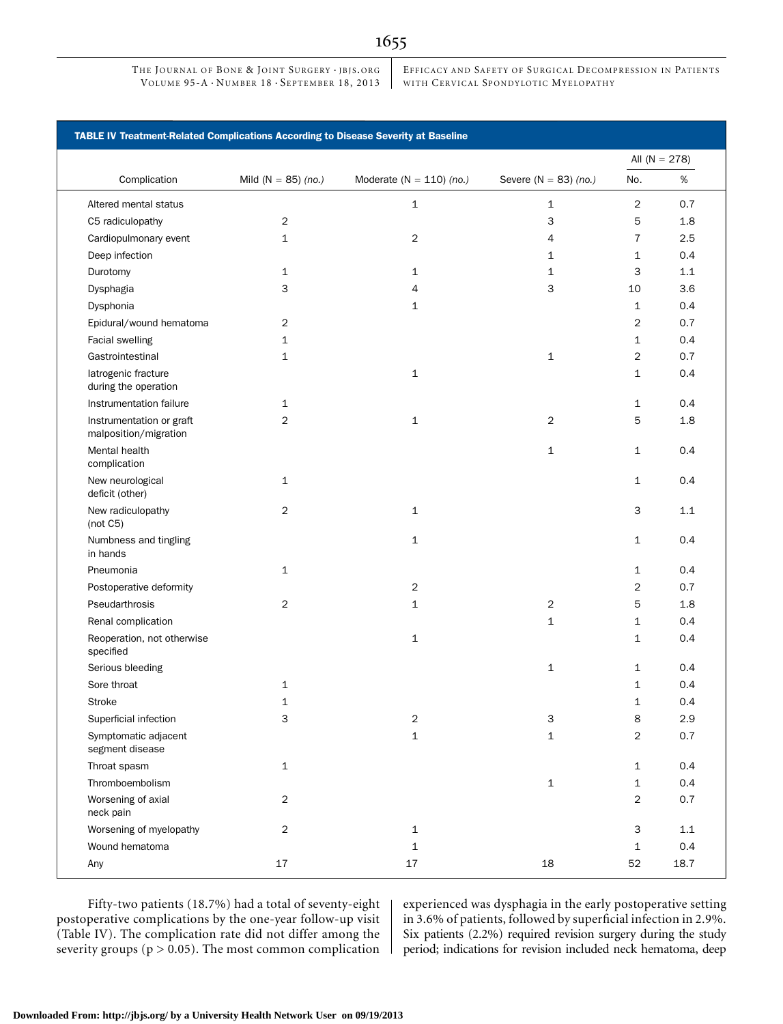# THE JOURNAL OF BONE & JOINT SURGERY · JBJS.ORG VOLUME 95-A  $\cdot$  NUMBER 18  $\cdot$  SEPTEMBER 18, 2013

EFFICACY AND SAFETY OF SURGICAL DECOMPRESSION IN PATIENTS WITH CERVICAL SPONDYLOTIC MYELOPATHY

| TABLE IV Treatment-Related Complications According to Disease Severity at Baseline |                         |                              |                         |                |                 |  |
|------------------------------------------------------------------------------------|-------------------------|------------------------------|-------------------------|----------------|-----------------|--|
|                                                                                    |                         |                              |                         |                | All $(N = 278)$ |  |
| Complication                                                                       | Mild ( $N = 85$ ) (no.) | Moderate ( $N = 110$ ) (no.) | Severe $(N = 83)$ (no.) | No.            | %               |  |
| Altered mental status                                                              |                         | $\mathbf{1}$                 | $\mathbf 1$             | $\overline{2}$ | 0.7             |  |
| C5 radiculopathy                                                                   | 2                       |                              | 3                       | 5              | 1.8             |  |
| Cardiopulmonary event                                                              | $\mathbf{1}$            | $\overline{2}$               | $\overline{4}$          | 7              | 2.5             |  |
| Deep infection                                                                     |                         |                              | $\mathbf 1$             | $\mathbf{1}$   | 0.4             |  |
| Durotomy                                                                           | $\mathbf{1}$            | 1                            | $\mathbf 1$             | 3              | 1.1             |  |
| Dysphagia                                                                          | 3                       | 4                            | 3                       | 10             | 3.6             |  |
| Dysphonia                                                                          |                         | $\mathbf{1}$                 |                         | $\mathbf{1}$   | 0.4             |  |
| Epidural/wound hematoma                                                            | 2                       |                              |                         | 2              | 0.7             |  |
| Facial swelling                                                                    | $\mathbf{1}$            |                              |                         | 1              | 0.4             |  |
| Gastrointestinal                                                                   | $\mathbf{1}$            |                              | $\mathbf{1}$            | 2              | 0.7             |  |
| latrogenic fracture<br>during the operation                                        |                         | $\mathbf{1}$                 |                         | $\mathbf 1$    | 0.4             |  |
| Instrumentation failure                                                            | 1                       |                              |                         | 1              | 0.4             |  |
| Instrumentation or graft<br>malposition/migration                                  | 2                       | $\mathbf{1}$                 | $\overline{2}$          | 5              | 1.8             |  |
| Mental health<br>complication                                                      |                         |                              | $\mathbf{1}$            | $\mathbf{1}$   | 0.4             |  |
| New neurological<br>deficit (other)                                                | $\mathbf{1}$            |                              |                         | $\mathbf{1}$   | 0.4             |  |
| New radiculopathy<br>(not C5)                                                      | $\overline{c}$          | $\mathbf{1}$                 |                         | 3              | 1.1             |  |
| Numbness and tingling<br>in hands                                                  |                         | $\mathbf{1}$                 |                         | $\mathbf{1}$   | 0.4             |  |
| Pneumonia                                                                          | $\mathbf{1}$            |                              |                         | 1              | 0.4             |  |
| Postoperative deformity                                                            |                         | $\overline{2}$               |                         | 2              | 0.7             |  |
| Pseudarthrosis                                                                     | 2                       | $\mathbf{1}$                 | 2                       | 5              | 1.8             |  |
| Renal complication                                                                 |                         |                              | $\mathbf{1}$            | $\mathbf{1}$   | 0.4             |  |
| Reoperation, not otherwise<br>specified                                            |                         | $\mathbf{1}$                 |                         | $\mathbf 1$    | 0.4             |  |
| Serious bleeding                                                                   |                         |                              | $\mathbf{1}$            | 1              | 0.4             |  |
| Sore throat                                                                        | $\mathbf 1$             |                              |                         | 1              | 0.4             |  |
| <b>Stroke</b>                                                                      | $\mathbf 1$             |                              |                         | 1              | 0.4             |  |
| Superficial infection                                                              | 3                       | $\overline{c}$               | 3                       | $\,8\,$        | 2.9             |  |
| Symptomatic adjacent<br>segment disease                                            |                         | $\mathbf 1$                  | $\mathbf 1$             | $\overline{c}$ | 0.7             |  |
| Throat spasm                                                                       | $\mathbf 1$             |                              |                         | 1              | 0.4             |  |
| Thromboembolism                                                                    |                         |                              | $\mathbf 1$             | $\mathbf{1}$   | $0.4\,$         |  |
| Worsening of axial<br>neck pain                                                    | $\overline{c}$          |                              |                         | $\overline{2}$ | 0.7             |  |
| Worsening of myelopathy                                                            | $\overline{2}$          | $\mathbf{1}$                 |                         | 3              | 1.1             |  |
| Wound hematoma                                                                     |                         | $\mathbf{1}$                 |                         | $\mathbf{1}$   | 0.4             |  |
| Any                                                                                | 17                      | 17                           | 18                      | 52             | 18.7            |  |

Fifty-two patients (18.7%) had a total of seventy-eight postoperative complications by the one-year follow-up visit (Table IV). The complication rate did not differ among the severity groups ( $p > 0.05$ ). The most common complication

experienced was dysphagia in the early postoperative setting in 3.6% of patients, followed by superficial infection in 2.9%. Six patients (2.2%) required revision surgery during the study period; indications for revision included neck hematoma, deep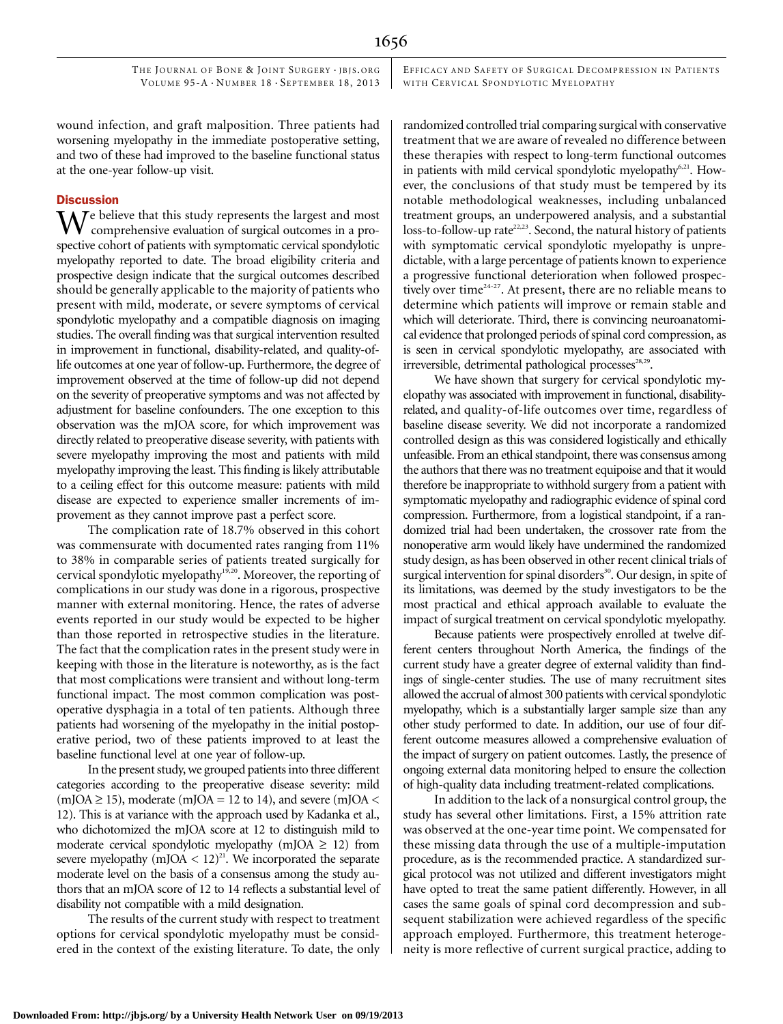EFFICACY AND SAFETY OF SURGICAL DECOMPRESSION IN PATIENTS WITH CERVICAL SPONDYLOTIC MYELOPATHY

wound infection, and graft malposition. Three patients had worsening myelopathy in the immediate postoperative setting, and two of these had improved to the baseline functional status at the one-year follow-up visit.

# **Discussion**

 $M^e$  believe that this study represents the largest and most comprehensive evaluation of surgical outcomes in a prospective cohort of patients with symptomatic cervical spondylotic myelopathy reported to date. The broad eligibility criteria and prospective design indicate that the surgical outcomes described should be generally applicable to the majority of patients who present with mild, moderate, or severe symptoms of cervical spondylotic myelopathy and a compatible diagnosis on imaging studies. The overall finding was that surgical intervention resulted in improvement in functional, disability-related, and quality-oflife outcomes at one year of follow-up. Furthermore, the degree of improvement observed at the time of follow-up did not depend on the severity of preoperative symptoms and was not affected by adjustment for baseline confounders. The one exception to this observation was the mJOA score, for which improvement was directly related to preoperative disease severity, with patients with severe myelopathy improving the most and patients with mild myelopathy improving the least. This finding is likely attributable to a ceiling effect for this outcome measure: patients with mild disease are expected to experience smaller increments of improvement as they cannot improve past a perfect score.

The complication rate of 18.7% observed in this cohort was commensurate with documented rates ranging from 11% to 38% in comparable series of patients treated surgically for cervical spondylotic myelopathy<sup>19,20</sup>. Moreover, the reporting of complications in our study was done in a rigorous, prospective manner with external monitoring. Hence, the rates of adverse events reported in our study would be expected to be higher than those reported in retrospective studies in the literature. The fact that the complication rates in the present study were in keeping with those in the literature is noteworthy, as is the fact that most complications were transient and without long-term functional impact. The most common complication was postoperative dysphagia in a total of ten patients. Although three patients had worsening of the myelopathy in the initial postoperative period, two of these patients improved to at least the baseline functional level at one year of follow-up.

In the present study, we grouped patients into three different categories according to the preoperative disease severity: mild (mJOA  $\ge$  15), moderate (mJOA = 12 to 14), and severe (mJOA  $<$ 12). This is at variance with the approach used by Kadanka et al., who dichotomized the mJOA score at 12 to distinguish mild to moderate cervical spondylotic myelopathy (mJOA  $\ge$  12) from severe myelopathy  $(mJOA < 12)^{21}$ . We incorporated the separate moderate level on the basis of a consensus among the study authors that an mJOA score of 12 to 14 reflects a substantial level of disability not compatible with a mild designation.

The results of the current study with respect to treatment options for cervical spondylotic myelopathy must be considered in the context of the existing literature. To date, the only randomized controlled trial comparing surgical with conservative treatment that we are aware of revealed no difference between these therapies with respect to long-term functional outcomes in patients with mild cervical spondylotic myelopathy<sup>6,21</sup>. However, the conclusions of that study must be tempered by its notable methodological weaknesses, including unbalanced treatment groups, an underpowered analysis, and a substantial loss-to-follow-up rate<sup>22,23</sup>. Second, the natural history of patients with symptomatic cervical spondylotic myelopathy is unpredictable, with a large percentage of patients known to experience a progressive functional deterioration when followed prospectively over time $24-27$ . At present, there are no reliable means to determine which patients will improve or remain stable and which will deteriorate. Third, there is convincing neuroanatomical evidence that prolonged periods of spinal cord compression, as is seen in cervical spondylotic myelopathy, are associated with irreversible, detrimental pathological processes $28,29$ .

We have shown that surgery for cervical spondylotic myelopathy was associated with improvement in functional, disabilityrelated, and quality-of-life outcomes over time, regardless of baseline disease severity. We did not incorporate a randomized controlled design as this was considered logistically and ethically unfeasible. From an ethical standpoint, there was consensus among the authors that there was no treatment equipoise and that it would therefore be inappropriate to withhold surgery from a patient with symptomatic myelopathy and radiographic evidence of spinal cord compression. Furthermore, from a logistical standpoint, if a randomized trial had been undertaken, the crossover rate from the nonoperative arm would likely have undermined the randomized study design, as has been observed in other recent clinical trials of surgical intervention for spinal disorders<sup>30</sup>. Our design, in spite of its limitations, was deemed by the study investigators to be the most practical and ethical approach available to evaluate the impact of surgical treatment on cervical spondylotic myelopathy.

Because patients were prospectively enrolled at twelve different centers throughout North America, the findings of the current study have a greater degree of external validity than findings of single-center studies. The use of many recruitment sites allowed the accrual of almost 300 patients with cervical spondylotic myelopathy, which is a substantially larger sample size than any other study performed to date. In addition, our use of four different outcome measures allowed a comprehensive evaluation of the impact of surgery on patient outcomes. Lastly, the presence of ongoing external data monitoring helped to ensure the collection of high-quality data including treatment-related complications.

In addition to the lack of a nonsurgical control group, the study has several other limitations. First, a 15% attrition rate was observed at the one-year time point. We compensated for these missing data through the use of a multiple-imputation procedure, as is the recommended practice. A standardized surgical protocol was not utilized and different investigators might have opted to treat the same patient differently. However, in all cases the same goals of spinal cord decompression and subsequent stabilization were achieved regardless of the specific approach employed. Furthermore, this treatment heterogeneity is more reflective of current surgical practice, adding to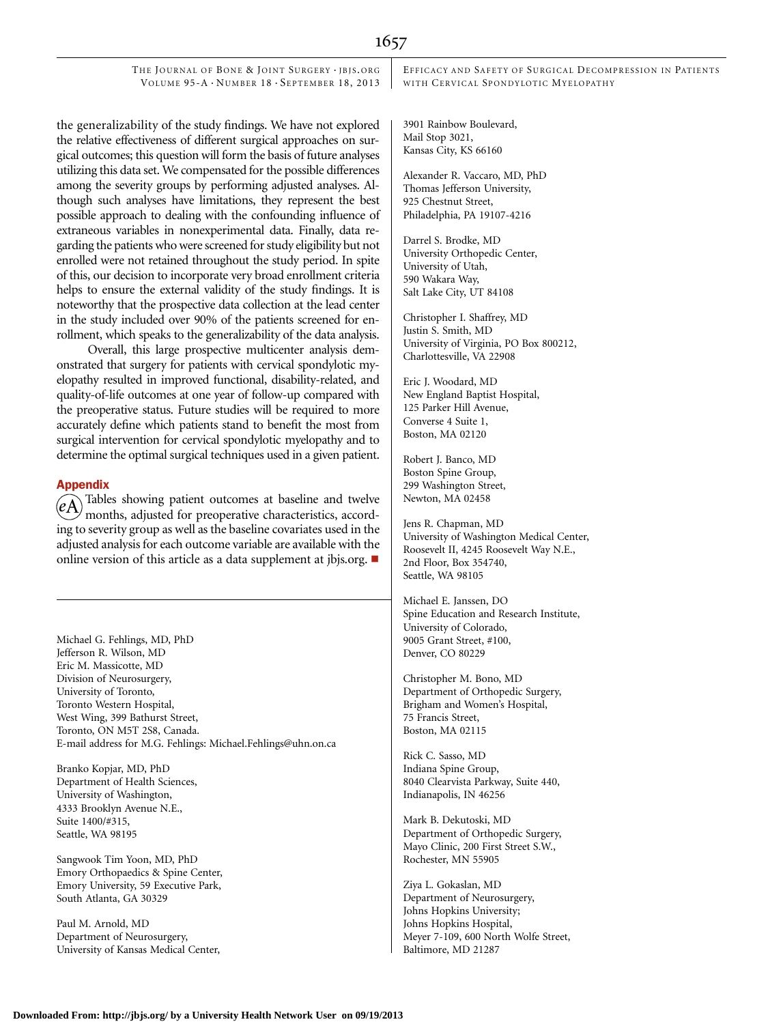THE JOURNAL OF BONE & JOINT SURGERY · JBJS.ORG VOLUME 95-A  $\cdot$  NUMBER 18  $\cdot$  September 18, 2013 EFFICACY AND SAFETY OF SURGICAL DECOMPRESSION IN PATIENTS WITH CERVICAL SPONDYLOTIC MYELOPATHY

the generalizability of the study findings. We have not explored the relative effectiveness of different surgical approaches on surgical outcomes; this question will form the basis of future analyses utilizing this data set. We compensated for the possible differences among the severity groups by performing adjusted analyses. Although such analyses have limitations, they represent the best possible approach to dealing with the confounding influence of extraneous variables in nonexperimental data. Finally, data regarding the patients who were screened for study eligibility but not enrolled were not retained throughout the study period. In spite of this, our decision to incorporate very broad enrollment criteria helps to ensure the external validity of the study findings. It is noteworthy that the prospective data collection at the lead center in the study included over 90% of the patients screened for enrollment, which speaks to the generalizability of the data analysis.

Overall, this large prospective multicenter analysis demonstrated that surgery for patients with cervical spondylotic myelopathy resulted in improved functional, disability-related, and quality-of-life outcomes at one year of follow-up compared with the preoperative status. Future studies will be required to more accurately define which patients stand to benefit the most from surgical intervention for cervical spondylotic myelopathy and to determine the optimal surgical techniques used in a given patient.

# Appendix

 $\widehat{(eA)}$  Tables showing patient outcomes at baseline and twelve months, adjusted for preoperative characteristics, according to severity group as well as the baseline covariates used in the adjusted analysis for each outcome variable are available with the online version of this article as a data supplement at jbjs.org.  $\blacksquare$ 

Michael G. Fehlings, MD, PhD Jefferson R. Wilson, MD Eric M. Massicotte, MD Division of Neurosurgery, University of Toronto, Toronto Western Hospital, West Wing, 399 Bathurst Street, Toronto, ON M5T 2S8, Canada. E-mail address for M.G. Fehlings: Michael.Fehlings@uhn.on.ca

Branko Kopjar, MD, PhD Department of Health Sciences, University of Washington, 4333 Brooklyn Avenue N.E., Suite 1400/#315, Seattle, WA 98195

Sangwook Tim Yoon, MD, PhD Emory Orthopaedics & Spine Center, Emory University, 59 Executive Park, South Atlanta, GA 30329

Paul M. Arnold, MD Department of Neurosurgery, University of Kansas Medical Center, 3901 Rainbow Boulevard, Mail Stop 3021, Kansas City, KS 66160

Alexander R. Vaccaro, MD, PhD Thomas Jefferson University, 925 Chestnut Street, Philadelphia, PA 19107-4216

Darrel S. Brodke, MD University Orthopedic Center, University of Utah, 590 Wakara Way, Salt Lake City, UT 84108

Christopher I. Shaffrey, MD Justin S. Smith, MD University of Virginia, PO Box 800212, Charlottesville, VA 22908

Eric J. Woodard, MD New England Baptist Hospital, 125 Parker Hill Avenue, Converse 4 Suite 1, Boston, MA 02120

Robert J. Banco, MD Boston Spine Group, 299 Washington Street, Newton, MA 02458

Jens R. Chapman, MD University of Washington Medical Center, Roosevelt II, 4245 Roosevelt Way N.E., 2nd Floor, Box 354740, Seattle, WA 98105

Michael E. Janssen, DO Spine Education and Research Institute, University of Colorado, 9005 Grant Street, #100, Denver, CO 80229

Christopher M. Bono, MD Department of Orthopedic Surgery, Brigham and Women's Hospital, 75 Francis Street, Boston, MA 02115

Rick C. Sasso, MD Indiana Spine Group, 8040 Clearvista Parkway, Suite 440, Indianapolis, IN 46256

Mark B. Dekutoski, MD Department of Orthopedic Surgery, Mayo Clinic, 200 First Street S.W., Rochester, MN 55905

Ziya L. Gokaslan, MD Department of Neurosurgery, Johns Hopkins University; Johns Hopkins Hospital, Meyer 7-109, 600 North Wolfe Street, Baltimore, MD 21287